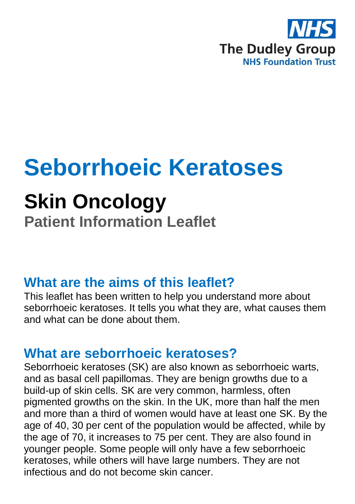

# **Seborrhoeic Keratoses**

## **Skin Oncology**

**Patient Information Leaflet**

#### **What are the aims of this leaflet?**

This leaflet has been written to help you understand more about seborrhoeic keratoses. It tells you what they are, what causes them and what can be done about them.

#### **What are seborrhoeic keratoses?**

Seborrhoeic keratoses (SK) are also known as seborrhoeic warts, and as basal cell papillomas. They are benign growths due to a build-up of skin cells. SK are very common, harmless, often pigmented growths on the skin. In the UK, more than half the men and more than a third of women would have at least one SK. By the age of 40, 30 per cent of the population would be affected, while by the age of 70, it increases to 75 per cent. They are also found in younger people. Some people will only have a few seborrhoeic keratoses, while others will have large numbers. They are not infectious and do not become skin cancer.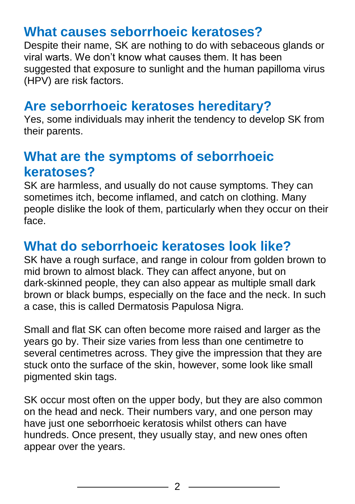### **What causes seborrhoeic keratoses?**

Despite their name, SK are nothing to do with sebaceous glands or viral warts. We don't know what causes them. It has been suggested that exposure to sunlight and the human papilloma virus (HPV) are risk factors.

### **Are seborrhoeic keratoses hereditary?**

Yes, some individuals may inherit the tendency to develop SK from their parents.

#### **What are the symptoms of seborrhoeic keratoses?**

SK are harmless, and usually do not cause symptoms. They can sometimes itch, become inflamed, and catch on clothing. Many people dislike the look of them, particularly when they occur on their face.

## **What do seborrhoeic keratoses look like?**

SK have a rough surface, and range in colour from golden brown to mid brown to almost black. They can affect anyone, but on dark-skinned people, they can also appear as multiple small dark brown or black bumps, especially on the face and the neck. In such a case, this is called Dermatosis Papulosa Nigra.

Small and flat SK can often become more raised and larger as the years go by. Their size varies from less than one centimetre to several centimetres across. They give the impression that they are stuck onto the surface of the skin, however, some look like small pigmented skin tags.

SK occur most often on the upper body, but they are also common on the head and neck. Their numbers vary, and one person may have just one seborrhoeic keratosis whilst others can have hundreds. Once present, they usually stay, and new ones often appear over the years.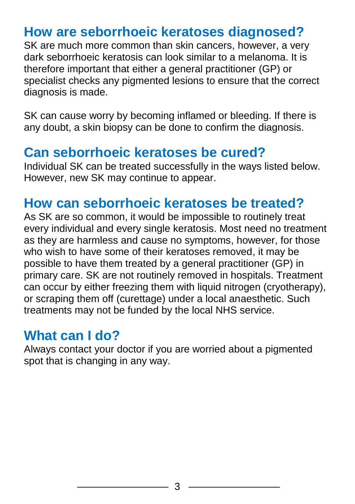## **How are seborrhoeic keratoses diagnosed?**

SK are much more common than skin cancers, however, a very dark seborrhoeic keratosis can look similar to a melanoma. It is therefore important that either a general practitioner (GP) or specialist checks any pigmented lesions to ensure that the correct diagnosis is made.

SK can cause worry by becoming inflamed or bleeding. If there is any doubt, a skin biopsy can be done to confirm the diagnosis.

#### **Can seborrhoeic keratoses be cured?**

Individual SK can be treated successfully in the ways listed below. However, new SK may continue to appear.

#### **How can seborrhoeic keratoses be treated?**

As SK are so common, it would be impossible to routinely treat every individual and every single keratosis. Most need no treatment as they are harmless and cause no symptoms, however, for those who wish to have some of their keratoses removed, it may be possible to have them treated by a general practitioner (GP) in primary care. SK are not routinely removed in hospitals. Treatment can occur by either freezing them with liquid nitrogen (cryotherapy), or scraping them off (curettage) under a local anaesthetic. Such treatments may not be funded by the local NHS service.

#### **What can I do?**

Always contact your doctor if you are worried about a pigmented spot that is changing in any way.